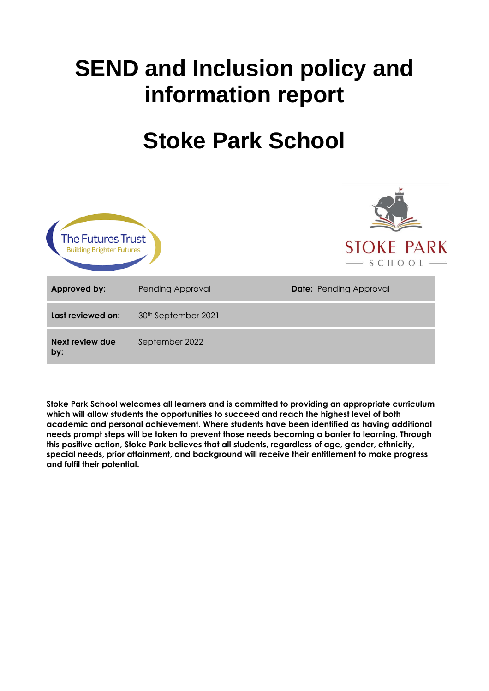# **SEND and Inclusion policy and information report**

# **Stoke Park School**



**Stoke Park School welcomes all learners and is committed to providing an appropriate curriculum which will allow students the opportunities to succeed and reach the highest level of both academic and personal achievement. Where students have been identified as having additional needs prompt steps will be taken to prevent those needs becoming a barrier to learning. Through this positive action, Stoke Park believes that all students, regardless of age, gender, ethnicity, special needs, prior attainment, and background will receive their entitlement to make progress and fulfil their potential.**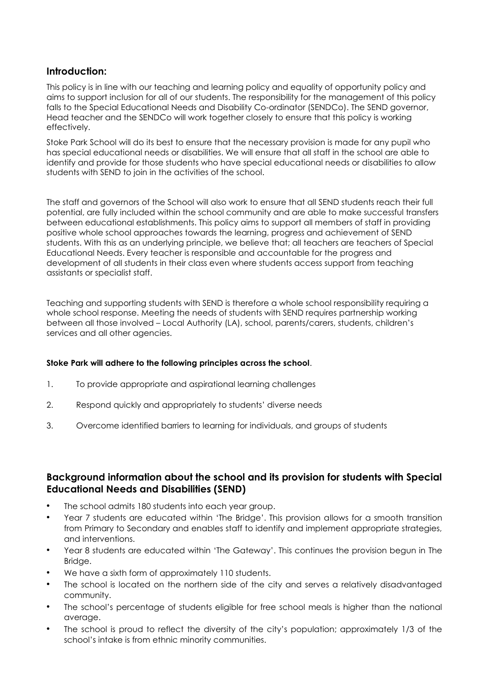#### **Introduction:**

This policy is in line with our teaching and learning policy and equality of opportunity policy and aims to support inclusion for all of our students. The responsibility for the management of this policy falls to the Special Educational Needs and Disability Co-ordinator (SENDCo). The SEND governor, Head teacher and the SENDCo will work together closely to ensure that this policy is working effectively.

Stoke Park School will do its best to ensure that the necessary provision is made for any pupil who has special educational needs or disabilities. We will ensure that all staff in the school are able to identify and provide for those students who have special educational needs or disabilities to allow students with SEND to join in the activities of the school.

The staff and governors of the School will also work to ensure that all SEND students reach their full potential, are fully included within the school community and are able to make successful transfers between educational establishments. This policy aims to support all members of staff in providing positive whole school approaches towards the learning, progress and achievement of SEND students. With this as an underlying principle, we believe that; all teachers are teachers of Special Educational Needs. Every teacher is responsible and accountable for the progress and development of all students in their class even where students access support from teaching assistants or specialist staff.

Teaching and supporting students with SEND is therefore a whole school responsibility requiring a whole school response. Meeting the needs of students with SEND requires partnership working between all those involved – Local Authority (LA), school, parents/carers, students, children's services and all other agencies.

#### **Stoke Park will adhere to the following principles across the school**.

- 1. To provide appropriate and aspirational learning challenges
- 2. Respond quickly and appropriately to students' diverse needs
- 3. Overcome identified barriers to learning for individuals, and groups of students

### **Background information about the school and its provision for students with Special Educational Needs and Disabilities (SEND)**

- The school admits 180 students into each year group.
- Year 7 students are educated within 'The Bridge'. This provision allows for a smooth transition from Primary to Secondary and enables staff to identify and implement appropriate strategies, and interventions.
- Year 8 students are educated within 'The Gateway'. This continues the provision begun in The Bridge.
- We have a sixth form of approximately 110 students.
- The school is located on the northern side of the city and serves a relatively disadvantaged community.
- The school's percentage of students eligible for free school meals is higher than the national average.
- The school is proud to reflect the diversity of the city's population; approximately 1/3 of the school's intake is from ethnic minority communities.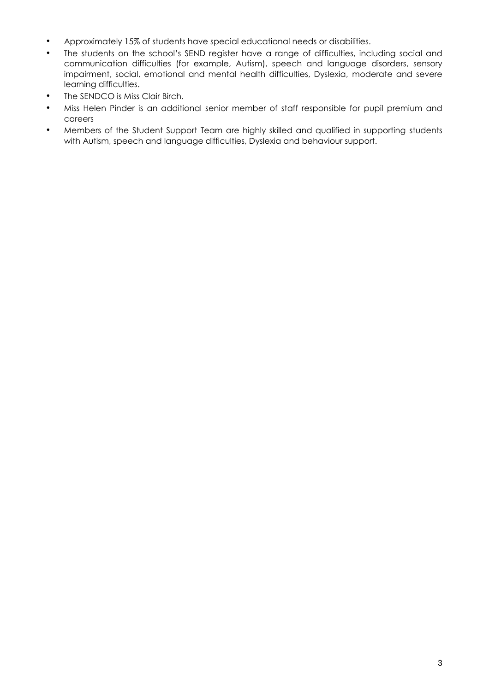- Approximately 15% of students have special educational needs or disabilities.
- The students on the school's SEND register have a range of difficulties, including social and communication difficulties (for example, Autism), speech and language disorders, sensory impairment, social, emotional and mental health difficulties, Dyslexia, moderate and severe learning difficulties.
- The SENDCO is Miss Clair Birch.
- Miss Helen Pinder is an additional senior member of staff responsible for pupil premium and careers
- Members of the Student Support Team are highly skilled and qualified in supporting students with Autism, speech and language difficulties, Dyslexia and behaviour support.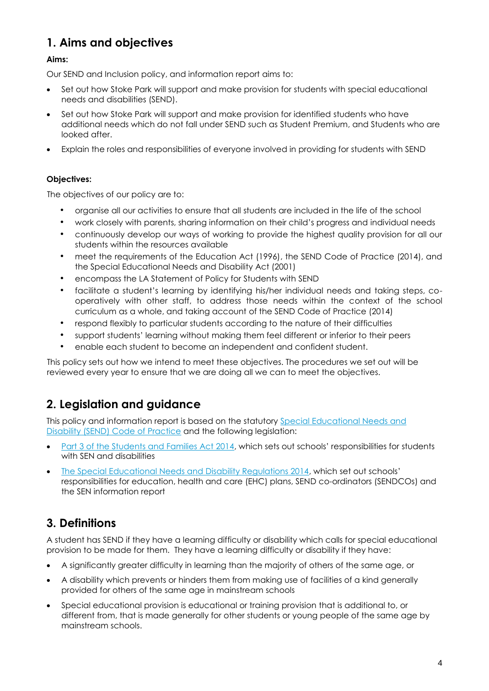# **1. Aims and objectives**

#### **Aims:**

Our SEND and Inclusion policy, and information report aims to:

- Set out how Stoke Park will support and make provision for students with special educational needs and disabilities (SEND).
- Set out how Stoke Park will support and make provision for identified students who have additional needs which do not fall under SEND such as Student Premium, and Students who are looked after.
- Explain the roles and responsibilities of everyone involved in providing for students with SEND

#### **Objectives:**

The objectives of our policy are to:

- organise all our activities to ensure that all students are included in the life of the school
- work closely with parents, sharing information on their child's progress and individual needs
- continuously develop our ways of working to provide the highest quality provision for all our students within the resources available
- meet the requirements of the Education Act (1996), the SEND Code of Practice (2014), and the Special Educational Needs and Disability Act (2001)
- encompass the LA Statement of Policy for Students with SEND
- facilitate a student's learning by identifying his/her individual needs and taking steps, cooperatively with other staff, to address those needs within the context of the school curriculum as a whole, and taking account of the SEND Code of Practice (2014)
- respond flexibly to particular students according to the nature of their difficulties
- support students' learning without making them feel different or inferior to their peers
- enable each student to become an independent and confident student.

This policy sets out how we intend to meet these objectives. The procedures we set out will be reviewed every year to ensure that we are doing all we can to meet the objectives.

## **2. Legislation and guidance**

This policy and information report is based on the statutory [Special Educational Needs and](https://www.gov.uk/government/uploads/system/uploads/attachment_data/file/398815/SEND_Code_of_Practice_January_2015.pdf)  [Disability \(SEND\) Code of Practice](https://www.gov.uk/government/uploads/system/uploads/attachment_data/file/398815/SEND_Code_of_Practice_January_2015.pdf) and the following legislation:

- Part 3 of the Students [and Families Act 2014,](http://www.legislation.gov.uk/ukpga/2014/6/part/3) which sets out schools' responsibilities for students with SFN and disabilities
- [The Special Educational Needs and Disability Regulations 2014,](http://www.legislation.gov.uk/uksi/2014/1530/contents/made) which set out schools' responsibilities for education, health and care (EHC) plans, SEND co-ordinators (SENDCOs) and the SEN information report

# **3. Definitions**

A student has SEND if they have a learning difficulty or disability which calls for special educational provision to be made for them. They have a learning difficulty or disability if they have:

- A significantly greater difficulty in learning than the majority of others of the same age, or
- A disability which prevents or hinders them from making use of facilities of a kind generally provided for others of the same age in mainstream schools
- Special educational provision is educational or training provision that is additional to, or different from, that is made generally for other students or young people of the same age by mainstream schools.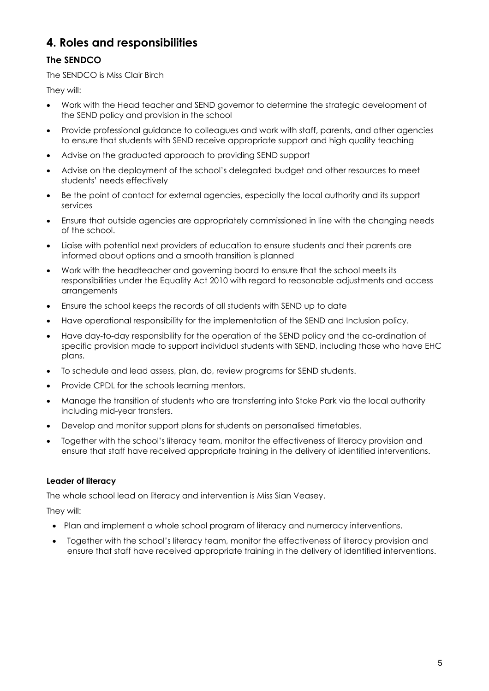## **4. Roles and responsibilities**

### **The SENDCO**

The SENDCO is Miss Clair Birch

They will:

- Work with the Head teacher and SEND governor to determine the strategic development of the SEND policy and provision in the school
- Provide professional guidance to colleagues and work with staff, parents, and other agencies to ensure that students with SEND receive appropriate support and high quality teaching
- Advise on the graduated approach to providing SEND support
- Advise on the deployment of the school's delegated budget and other resources to meet students' needs effectively
- Be the point of contact for external agencies, especially the local authority and its support services
- Ensure that outside agencies are appropriately commissioned in line with the changing needs of the school.
- Liaise with potential next providers of education to ensure students and their parents are informed about options and a smooth transition is planned
- Work with the headteacher and governing board to ensure that the school meets its responsibilities under the Equality Act 2010 with regard to reasonable adjustments and access arrangements
- Ensure the school keeps the records of all students with SEND up to date
- Have operational responsibility for the implementation of the SEND and Inclusion policy.
- Have day-to-day responsibility for the operation of the SEND policy and the co-ordination of specific provision made to support individual students with SEND, including those who have EHC plans.
- To schedule and lead assess, plan, do, review programs for SEND students.
- Provide CPDL for the schools learning mentors.
- Manage the transition of students who are transferring into Stoke Park via the local authority including mid-year transfers.
- Develop and monitor support plans for students on personalised timetables.
- Together with the school's literacy team, monitor the effectiveness of literacy provision and ensure that staff have received appropriate training in the delivery of identified interventions.

#### **Leader of literacy**

The whole school lead on literacy and intervention is Miss Sian Veasey.

They will:

- Plan and implement a whole school program of literacy and numeracy interventions.
- Together with the school's literacy team, monitor the effectiveness of literacy provision and ensure that staff have received appropriate training in the delivery of identified interventions.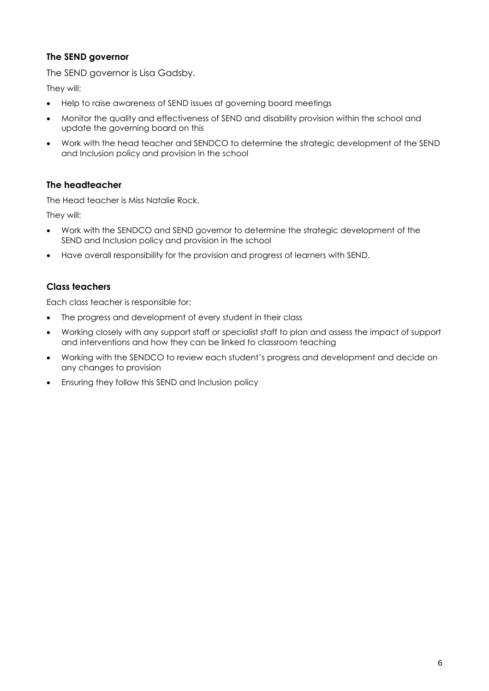#### **The SEND governor**

The SEND governor is Lisa Gadsby.

They will:

- Help to raise awareness of SEND issues at governing board meetings
- Monitor the quality and effectiveness of SEND and disability provision within the school and update the governing board on this
- Work with the head teacher and SENDCO to determine the strategic development of the SEND and Inclusion policy and provision in the school

#### **The headteacher**

The Head teacher is Miss Natalie Rock.

They will:

- Work with the SENDCO and SEND governor to determine the strategic development of the SEND and Inclusion policy and provision in the school
- Have overall responsibility for the provision and progress of learners with SEND.

#### **Class teachers**

Each class teacher is responsible for:

- The progress and development of every student in their class
- Working closely with any support staff or specialist staff to plan and assess the impact of support and interventions and how they can be linked to classroom teaching
- Working with the SENDCO to review each student's progress and development and decide on any changes to provision
- Ensuring they follow this SEND and Inclusion policy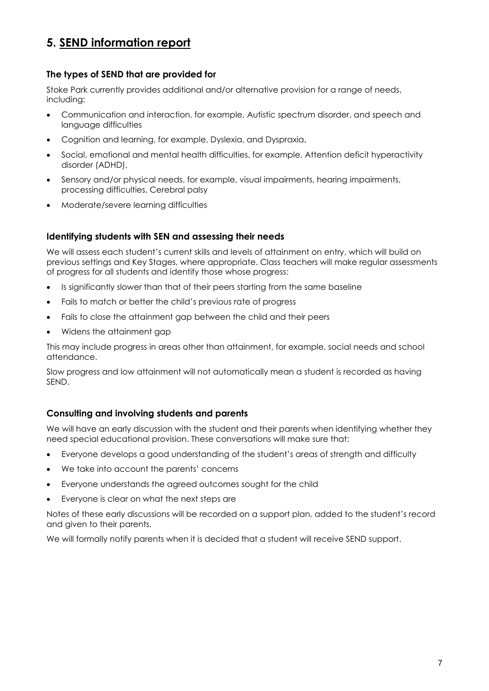## **5. SEND information report**

#### **The types of SEND that are provided for**

Stoke Park currently provides additional and/or alternative provision for a range of needs, including:

- Communication and interaction, for example, Autistic spectrum disorder, and speech and language difficulties
- Cognition and learning, for example, Dyslexia, and Dyspraxia,
- Social, emotional and mental health difficulties, for example, Attention deficit hyperactivity disorder (ADHD),
- Sensory and/or physical needs, for example, visual impairments, hearing impairments, processing difficulties, Cerebral palsy
- Moderate/severe learning difficulties

#### **Identifying students with SEN and assessing their needs**

We will assess each student's current skills and levels of attainment on entry, which will build on previous settings and Key Stages, where appropriate. Class teachers will make regular assessments of progress for all students and identify those whose progress:

- Is significantly slower than that of their peers starting from the same baseline
- Fails to match or better the child's previous rate of progress
- Fails to close the attainment gap between the child and their peers
- Widens the attainment gap

This may include progress in areas other than attainment, for example, social needs and school attendance.

Slow progress and low attainment will not automatically mean a student is recorded as having SEND.

#### **Consulting and involving students and parents**

We will have an early discussion with the student and their parents when identifying whether they need special educational provision. These conversations will make sure that:

- Everyone develops a good understanding of the student's areas of strength and difficulty
- We take into account the parents' concerns
- Everyone understands the agreed outcomes sought for the child
- Everyone is clear on what the next steps are

Notes of these early discussions will be recorded on a support plan, added to the student's record and given to their parents.

We will formally notify parents when it is decided that a student will receive SEND support.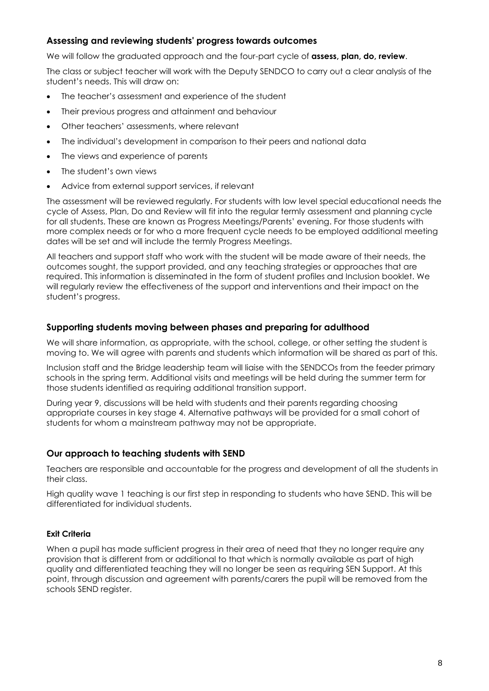#### **Assessing and reviewing students' progress towards outcomes**

We will follow the graduated approach and the four-part cycle of **assess, plan, do, review**.

The class or subject teacher will work with the Deputy SENDCO to carry out a clear analysis of the student's needs. This will draw on:

- The teacher's assessment and experience of the student
- Their previous progress and attainment and behaviour
- Other teachers' assessments, where relevant
- The individual's development in comparison to their peers and national data
- The views and experience of parents
- The student's own views
- Advice from external support services, if relevant

The assessment will be reviewed regularly. For students with low level special educational needs the cycle of Assess, Plan, Do and Review will fit into the regular termly assessment and planning cycle for all students. These are known as Progress Meetings/Parents' evening. For those students with more complex needs or for who a more frequent cycle needs to be employed additional meeting dates will be set and will include the termly Progress Meetings.

All teachers and support staff who work with the student will be made aware of their needs, the outcomes sought, the support provided, and any teaching strategies or approaches that are required. This information is disseminated in the form of student profiles and Inclusion booklet. We will regularly review the effectiveness of the support and interventions and their impact on the student's progress.

#### **Supporting students moving between phases and preparing for adulthood**

We will share information, as appropriate, with the school, college, or other setting the student is moving to. We will agree with parents and students which information will be shared as part of this.

Inclusion staff and the Bridge leadership team will liaise with the SENDCOs from the feeder primary schools in the spring term. Additional visits and meetings will be held during the summer term for those students identified as requiring additional transition support.

During year 9, discussions will be held with students and their parents regarding choosing appropriate courses in key stage 4. Alternative pathways will be provided for a small cohort of students for whom a mainstream pathway may not be appropriate.

#### **Our approach to teaching students with SEND**

Teachers are responsible and accountable for the progress and development of all the students in their class.

High quality wave 1 teaching is our first step in responding to students who have SEND. This will be differentiated for individual students.

#### **Exit Criteria**

When a pupil has made sufficient progress in their area of need that they no longer require any provision that is different from or additional to that which is normally available as part of high quality and differentiated teaching they will no longer be seen as requiring SEN Support. At this point, through discussion and agreement with parents/carers the pupil will be removed from the schools SEND register.